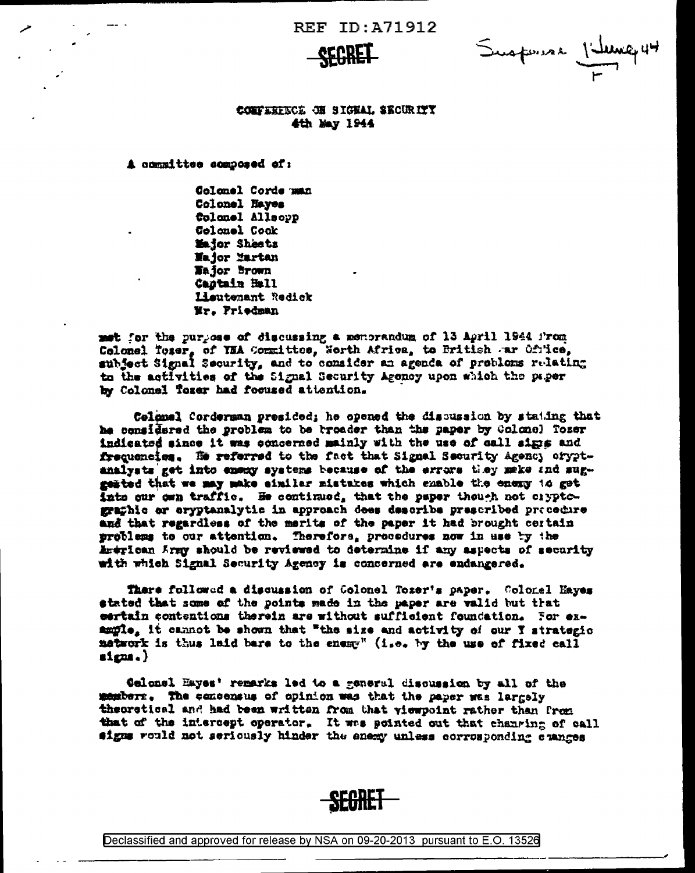**SEGRET** 

Suspense Villence 44

## CONFERENCE ON SIGNAL SECURITY 4th May 1944

A committee somposed of:

Colonel Corde man Colonel Haves Colonel Allsopp Colonel Cook Major Sheetz Major Martan Wajor Brown Castain Hall Hautemant Redick Wr. Priedman

met for the purpose of discussing a menorandum of 13 April 1944 from Colonel Toser, of YNA Committee, Worth Africa, to British ar Ofrice, subject Signal Security, and to consider an agenda of probloms relating to the activities of the Signal Security Agency upon which the paper by Colonel Tozer had focused attention.

Colonal Corderman presided; he opened the discussion by stating that he considered the problem to be troader than the paper by Golomol Tozer indicated since it was concerned mainly with the use of call signs and frequencies. He referred to the fact that Signal Security Agency oryptanalysts get into enemy systems because of the errors they make and suggested that we may make similar mistakes which enable the energ to get Into our own traffic. He continued, that the paper though not cryptographic or eryptanalytic in approach dees describe prescribed procedure and that regardless of the merits of the paper it had brought certain problems to our attention. Therefors, procedures now in use by the American Army should be reviewed to determine if any aspects of security with which Signal Security Agency is concerned are endangered.

There followed a discussion of Colonel Tozer's paper. Colonel Hayes stated that some of the points made in the paper are valid but that eartain contentions therein are without sufficient foundation. For example, it cannot be shown that "the size and activity of our Y strategic matwork is thus laid bare to the enemy" (i.e. by the use of fixed call  $_{\text{stens.}}$ 

Gelonel Hayes' remarks led to a general discussion by all of the members. The concensus of opinion was that the paper was largely theoretical and had been written from that viewpoint rather than from that of the intercept operator. It was pointed out that changing of call signs rould not seriously hinder the enemy unless corrosponding changes



Declassified and approved for release by NSA on 09-20-2013 pursuant to E.O. 13526